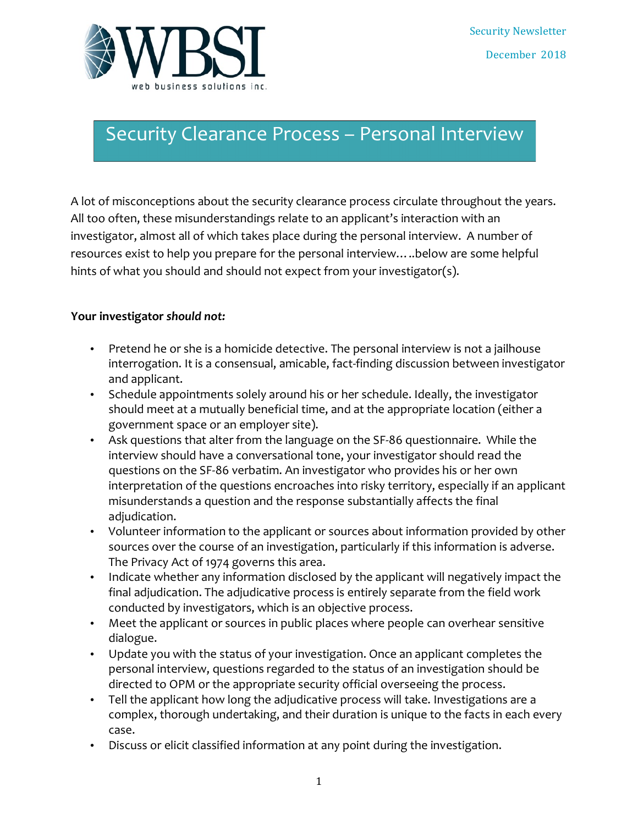

## Security Clearance Process - Personal Interview

A lot of misconceptions about the security clearance process circulate throughout the years. All too often, these misunderstandings relate to an applicant's interaction with an investigator, almost all of which takes place during the personal interview. A number of resources exist to help you prepare for the personal interview.....below are some helpful hints of what you should and should not expect from your investigator(s).

## Your investigator should not:

- Pretend he or she is a homicide detective. The personal interview is not a jailhouse interrogation. It is a consensual, amicable, fact-finding discussion between investigator and applicant.
- Schedule appointments solely around his or her schedule. Ideally, the investigator should meet at a mutually beneficial time, and at the appropriate location (either a government space or an employer site).
- Ask questions that alter from the language on the SF-86 questionnaire. While the interview should have a conversational tone, your investigator should read the questions on the SF-86 verbatim. An investigator who provides his or her own interpretation of the questions encroaches into risky territory, especially if an applicant misunderstands a question and the response substantially affects the final adjudication.
- Volunteer information to the applicant or sources about information provided by other sources over the course of an investigation, particularly if this information is adverse. The Privacy Act of 1974 governs this area.
- Indicate whether any information disclosed by the applicant will negatively impact the final adjudication. The adjudicative process is entirely separate from the field work conducted by investigators, which is an objective process.
- Meet the applicant or sources in public places where people can overhear sensitive dialogue.
- Update you with the status of your investigation. Once an applicant completes the personal interview, questions regarded to the status of an investigation should be directed to OPM or the appropriate security official overseeing the process.
- Tell the applicant how long the adjudicative process will take. Investigations are a complex, thorough undertaking, and their duration is unique to the facts in each every case.
- Discuss or elicit classified information at any point during the investigation.